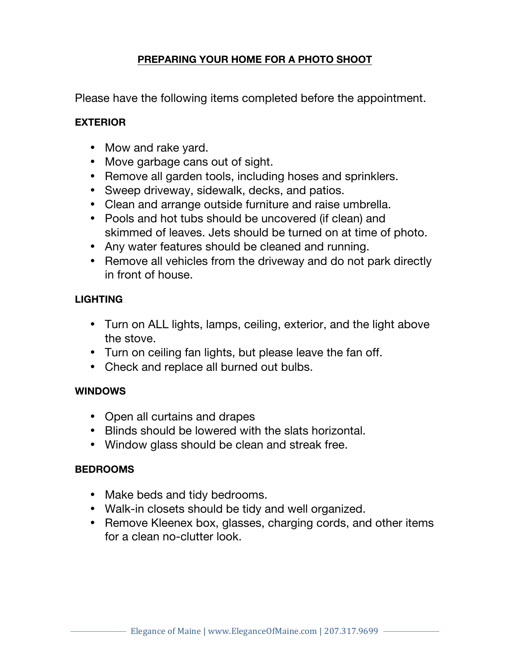# **PREPARING YOUR HOME FOR A PHOTO SHOOT**

Please have the following items completed before the appointment.

### **EXTERIOR**

- Mow and rake yard.
- Move garbage cans out of sight.
- Remove all garden tools, including hoses and sprinklers.
- Sweep driveway, sidewalk, decks, and patios.
- Clean and arrange outside furniture and raise umbrella.
- Pools and hot tubs should be uncovered (if clean) and skimmed of leaves. Jets should be turned on at time of photo.
- Any water features should be cleaned and running.
- Remove all vehicles from the driveway and do not park directly in front of house.

# **LIGHTING**

- Turn on ALL lights, lamps, ceiling, exterior, and the light above the stove.
- Turn on ceiling fan lights, but please leave the fan off.
- Check and replace all burned out bulbs.

# **WINDOWS**

- Open all curtains and drapes
- Blinds should be lowered with the slats horizontal.
- Window glass should be clean and streak free.

#### **BEDROOMS**

- Make beds and tidy bedrooms.
- Walk-in closets should be tidy and well organized.
- Remove Kleenex box, glasses, charging cords, and other items for a clean no-clutter look.